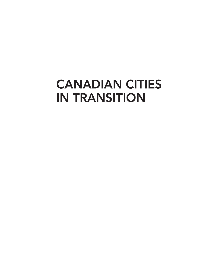## **CANADIAN CITIES IN TRANSITION**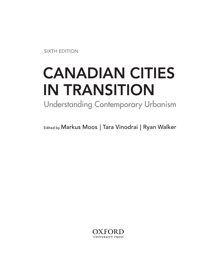**SIXTH EDITION** 

# **CANADIAN CITIES IN TRANSITION**

**Understanding Contemporary Urbanism** 

Edited by Markus Moos | Tara Vinodrai | Ryan Walker

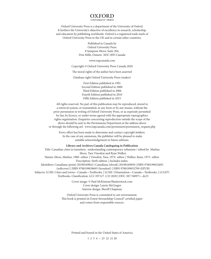#### OXFORD

Oxford University Press is a department of the University of Oxford. It furthers the University's objective of excellence in research, scholarship, and education by publishing worldwide. Oxford is a registered trade mark of Oxford University Press in the UK and in certain other countries.

> Published in Canada by Oxford University Press 8 Sampson Mews, Suite 204, Don Mills, Ontario M3C 0H5 Canada

> > www.oupcanada.com

Copyright © Oxford University Press Canada 2020

The moral rights of the author have been asserted

Database right Oxford University Press (maker)

First Edition published in 1991 Second Edition published in 2000 Third Edition published in 2006 Fourth Edition published in 2010 Fifth Edition published in 2015

All rights reserved. No part of this publication may be reproduced, stored in a retrieval system, or transmitted, in any form or by any means, without the prior permission in writing of Oxford University Press, or as expressly permitted by law, by licence, or under terms agreed with the appropriate reprographics rights organization. Enquiries concerning reproduction outside the scope of the above should be sent to the Permissions Department at the address above or through the following url: www.oupcanada.com/permission/permission\_request.php

Every effort has been made to determine and contact copyright holders. In the case of any omissions, the publisher will be pleased to make suitable acknowledgement in future editions.

#### **Library and Archives Canada Cataloguing in Publication**

Title: Canadian cities in transition : understanding contemporary urbanism / edited by Markus Moos, Tara Vinodrai and Ryan Walker. Names: Moos, Markus, 1980- editor. | Vinodrai, Tara, 1974- editor. | Walker, Ryan, 1975- editor. Description: Sixth edition. | Includes index. Identifiers: Canadiana (print) 20190169842 | Canadiana (ebook) 20190169850 | ISBN 9780199032693 (softcover) | ISBN 9780199038695 (looseleaf) | ISBN 9780199032709 (EPUB) Subjects: LCSH: Cities and towns—Canada—Textbooks. | LCSH: Urbanization—Canada—Textbooks. | LCGFT: Textbooks. Classification: LCC HT127 .C32 2020 | DDC 307.760971—dc23

Cover image: © Paul McKinnon/Shutterstock.com Cover design: Laurie McGregor Interior design: Sherill Chapman

Oxford University Press is committed to our environment. This book is printed on Forest Stewardship Council® certified paper and comes from responsible sources.

Printed and bound in the United States of America

1 2 3 4 — 23 22 21 20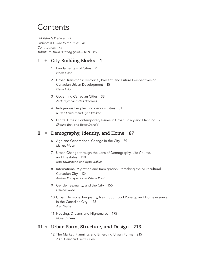## **Contents**

*Publisher's Preface vii Preface: A Guide to the Text viii Contributors xii Tribute to Trudi Bunting (1944–2017) xiv*

#### **I • City Building Blocks 1**

- 1 Fundamentals of Cities 2 *Pierre Filion*
- 2 Urban Transitions: Historical, Present, and Future Perspectives on Canadian Urban Development 15 *Pierre Filion*
- 3 Governing Canadian Cities 33 *Zack Taylor and Neil Bradford*
- 4 Indigenous Peoples, Indigenous Cities 51 *R. Ben Fawcett and Ryan Walker*
- 5 Digital Cities: Contemporary Issues in Urban Policy and Planning 70 *Shauna Brail and Betsy Donald*

#### **II • Demography, Identity, and Home 87**

- 6 Age and Generational Change in the City 89 *Markus Moos*
- 7 Urban Change through the Lens of Demography, Life Course, and Lifestyles 110 *Ivan Townshend and Ryan Walker*
- 8 International Migration and Immigration: Remaking the Multicultural Canadian City 134 *Audrey Kobayashi and Valerie Preston*
- 9 Gender, Sexuality, and the City 155 *Damaris Rose*
- 10 Urban Divisions: Inequality, Neighbourhood Poverty, and Homelessness in the Canadian City 175 *Alan Walks*
- 11 Housing: Dreams and Nightmares 195 *Richard Harris*

#### **III • Urban Form, Structure, and Design 213**

12 The Market, Planning, and Emerging Urban Forms 215 *Jill L. Grant and Pierre Filion*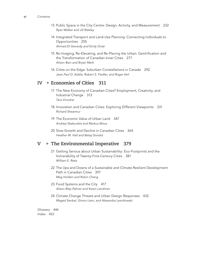- 13 Public Space in the City Centre: Design, Activity, and Measurement 232 *Ryan Walker and Jill Blakley*
- 14 Integrated Transport and Land-Use Planning: Connecting Individuals to Opportunities 255 *Ahmed El-Geneidy and Emily Grisé*
- 15 Re-Imaging, Re-Elevating, and Re-Placing the Urban: Gentrification and the Transformation of Canadian Inner Cities 277 *Alison Bain and Bryan Mark*
- 16 Cities on the Edge: Suburban Constellations in Canada 292 *Jean-Paul D. Addie, Robert S. Fiedler, and Roger Keil*

#### **IV • Economies of Cities 311**

- 17 The New Economy of Canadian Cities? Employment, Creativity, and Industrial Change 313 *Tara Vinodrai*
- 18 Innovation and Canadian Cities: Exploring Different Viewpoints 331 *Richard Shearmur*
- 19 The Economic Value of Urban Land 347 *Andrejs Skaburskis and Markus Moos*
- 20 Slow Growth and Decline in Canadian Cities 364 *Heather M. Hall and Betsy Donald*

#### **V • The Environmental Imperative 379**

- 21 Getting Serious about Urban Sustainability: Eco-Footprints and the Vulnerability of Twenty-First-Century Cities 381 *William E. Rees*
- 22 The Ups and Downs of a Sustainable and Climate Resilient Development Path in Canadian Cities 397 *Meg Holden and Robin Chang*
- 23 Food Systems and the City 417 *Alison Blay-Palmer and Karen Landman*
- 24 Climate Change Threats and Urban Design Responses 432 *Maged Senbel, Simon Liem, and Alexandra Lesnikowski*

*Glossary 446 Index 453*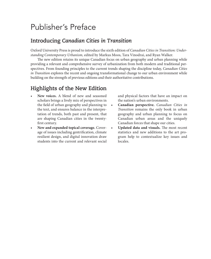## Publisher's Preface

#### **Introducing** *Canadian Cities in Transition*

Oxford University Press is proud to introduce the sixth edition of *Canadian Cities in Transition: Understanding Contemporary Urbanism,* edited by Markus Moos, Tara Vinodrai, and Ryan Walker.

The new edition retains its unique Canadian focus on urban geography and urban planning while providing a relevant and comprehensive survey of urbanization from both modern and traditional perspectives. From founding principles to the current trends shaping the discipline today, *Canadian Cities in Transition* explores the recent and ongoing transformational change to our urban environment while building on the strength of previous editions and their authoritative contributions.

#### **Highlights of the New Edition**

- **New voices.** A blend of new and seasoned scholars brings a lively mix of perspectives in the field of urban geography and planning to the text, and ensures balance in the interpretation of trends, both past and present, that are shaping Canadian cities in the twentyfirst century.
- **New and expanded topical coverage.** Coverage of issues including gentrification, climate resilient design, and digital innovation draw students into the current and relevant social

and physical factors that have an impact on the nation's urban environments.

- **Canadian perspective.** *Canadian Cities in Transition* remains the only book in urban geography and urban planning to focus on Canadian urban areas and the uniquely Canadian forces that shape our cities.
- **Updated data and visuals.** The most recent statistics and new additions to the art program help to contextualize key issues and locales.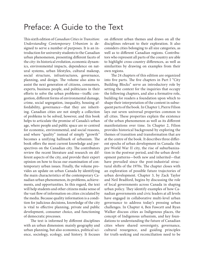### Preface: A Guide to the Text

This sixth edition of *Canadian Cities in Transition: Understanding Contemporary Urbanism* is designed to serve a number of purposes. It is an introduction for university students to the Canadian urban phenomenon, presenting different facets of the city: its historical evolution, economic dynamics, environmental impacts, dependence on natural systems, urban lifestyles, cultural makeup, social structure, infrastructures, governance, planning, and design. The volume also aims to assist the next generation of citizens, consumers, experts, business people, and politicians in their efforts to solve the urban problems—traffic congestion, different forms of environmental damage, crime, social segregation, inequality, housing affordability, governance—that they are inheriting. Canadian cities are not simply a collection of problems to be solved, however, and this book helps to articulate the promise of Canada's urban age, where people and public space are re-centred for economic, environmental, and social reasons, and where "quality" instead of simply "growth" becomes a unifying hallmark of urbanism. The book offers the most current knowledge and perspectives on the Canadian city. The contributors review the recent literature and research on different aspects of the city, and provide their expert opinion on how to focus our examination of contemporary urban issues. Finally, the volume provides an update on urban Canada by identifying the main characteristics of the contemporary Canadian urban phenomenon, its problems, achievements, and opportunities. In this regard, the text will help students and other citizens make sense of the vast flow of information on cities circulated by the media. Because quality information is a condition for judicious decisions, knowledge of the city is vital to effective planning, private and public development, consumer choice, and functioning of democratic processes.

The text is informed by different disciplines with an urban dimension: mainly geography and urban planning, but also economics, political science, sociology, ecology, and history. It focuses

on different urban themes and draws on all the disciplines relevant to their exploration. It also considers cities belonging to all size categories, as well as to different Canadian regions. Contributors who represent all parts of the country are able to highlight cross-country differences, as well as similarities by drawing on examples from their own regions.

The 24 chapters of this edition are organized into five parts. The five chapters in Part I "City Building Blocks" serve an introductory role by setting the context for the inquiries that occupy the following chapters, and also a formative role, building for readers a foundation upon which to shape their interpretation of the content in subsequent parts of the book. In Chapter 1, Pierre Filion lays out seven universal properties common to all cities. These properties explain the existence of the urban phenomenon as well as its different manifestations over time. In Chapter 2, Filion provides historical background by exploring the themes of transition and transformation that are at the centre of the book. It describes three different epochs of urban development in Canada: the pre‒World War II city, the rise of suburbanization in the postwar period, and the urban development patterns—both new and inherited—that have prevailed since the post-industrial structural shifts of the 1970s. The chapter closes with an exploration of possible future trajectories of urban development. Chapter 3, by Zack Taylor and Neil Bradford, begins by discussing the role of local governments across Canada in shaping urban policy. They identify examples of how Canadian governments and civic leaders at all levels have engaged in collaborative multi-level urban governance to address today's pressing urban challenges. In Chapter 4, Ben Fawcett and Ryan Walker discuss cities as Indigenous places, the concept of Indigenous urbanism, and key foundations to understanding the future of Canadian cities where shared sovereignty, governance, cultural resurgence, and guiding principles for truth-seeking and reconciliation need to be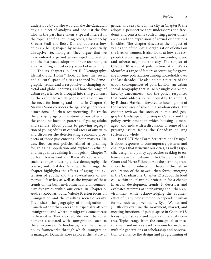understood by all who would make the Canadian city a subject of analysis, and not just the few who in the past have taken a special interest in the topic. The final building block, Chapter 5 by Shauna Brail and Betsy Donald, addresses how cities are being shaped by new—and potentially disruptive—technologies. They argue that we have entered a period where rapid digitization and the fast-paced adoption of new technologies are disrupting almost every aspect of urban life.

The six chapters in Part II, "Demography, Identity, and Home," look at how the social and cultural space of cities is shaped by demographic trends, and is responsive to changing societal and global contexts, and how the range of urban experiences is brought into sharp contrast by the extent to which people are able to meet the need for housing and home. In Chapter 6, Markus Moos considers the age and generational dimensions of urban restructuring. He tracks the changing age compositions of our cities and the changing location patterns of young adults and seniors. Moos points to growing segregation of young adults in central areas of our cities and discusses the deteriorating economic prospects of those just entering labour markets. He describes current policies aimed at planning for an aging population and explores exclusion and inequalities arising from ageism. Chapter 7, by Ivan Townshend and Ryan Walker, is about social changes affecting cities: demography, life course, and lifestyles. Among other things, the chapter highlights the effects of aging, the extension of youth, and the co-existence of numerous lifestyles, as well as the impact of these trends on the built environment and on community dynamics within our cities. In Chapter 8, Audrey Kobayashi and Valerie Preston focus on immigration and the resulting social diversity. They chart the geography of immigration in Canada—the urban areas that especially attract immigrants and where immigrants concentrate in these cities. They also describe new urban phenomena associated with immigration, such as the emergence of "ethnoburbs," and the broader policy frameworks through which immigration is managed. Damaris Rose explores the nature of gender and sexuality in the city in Chapter 9. She adopts a perspective that underscores the freedoms and constraints confronting gender differences and the expression of sexual orientations in cities. The chapter discusses the impact of values and of the spatial organization of cities on the lives of women. It also looks at how LGBTQ+ people (lesbian, gay, bisexual, transgender, queer, and others) negotiate the city. The subject of Chapter 10 is social polarization. Alan Walks identifies a range of factors accounting for growing income polarization among households over the last decades. He also paints a picture of the urban consequences of polarization—an urban social geography that is increasingly characterized by unevenness—and the policy responses that could address social inequality. Chapter 11, by Richard Harris, is devoted to housing, one of the largest uses of space in Canadian cities. The chapter reviews the socio-economic and geographic landscape of housing in Canada and the policy environment in which housing is managed, and ends with a discussion of some of the pressing issues facing the Canadian housing system as a whole.

Part III, "Urban Form, Structure, and Design," is about responses to contemporary patterns and challenges that structure our cities, as well as specific design and policy approaches seeking to enhance Canadian urbanism. In Chapter 12, Jill L. Grant and Pierre Filion pursue the planning transition theme introduced in Chapter 2 through an exploration of the newer urban forms emerging in the Canadian city. Chapter 12 is about the loud call within the planning profession for a change in urban development trends. It describes and evaluates attempts at intensifying the urban environment while acknowledging the countereffect of many new automobile-dependent urban forms, such as power malls. Ryan Walker and Jill Blakley examine the movement, market, and meeting functions of public space in Chapter 13, focusing on streets and squares in our city centres. Topics range from the conceptual to measurement and metrics, and to lessons learned over multiple generations of scholarship and observation to enhance the design and programming of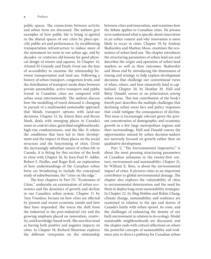public spaces. The connections between activity and urban form are discussed. The authors give examples of how public life is being re-ignited in the shared spaces of our cities by place-specific public art and performance, by recalibrating transportation infrastructure to induce more of the movement we want in our urban age, and by decades- or centuries-old lessons for good physical design of streets and squares. In Chapter 14, Ahmed El-Geneidy and Emily Grisé use the lens of accessibility to examine the relationship between transportation and land use. Following a history of urban transport, congestion levels, and the distribution of transport mode share between private automobiles, active transport, and public transit in Canadian cities are compared with urban areas internationally. The authors discuss how the modelling of travel demand is changing in pursuit of a multimodal sustainable approach that blends transport options with land-use decisions. Chapter 15, by Alison Bain and Bryan Mark, deals with emerging places in Canada's inner or central cities: gentrified neighbourhoods, high-rise condominiums, and the like. It relates the conditions that have led to their development and the impact of these places on the social structure and the functioning of cities. Given the increasingly suburban nature of urban life in Canada, it is fitting for this section of the book to close with Chapter 16, by Jean-Paul D. Addie, Robert S. Fiedler, and Roger Keil, an exploration of how understandings of the Canadian urban form are broadening to include the conceptual study of suburbanisms, the "cities on the edge."

The four chapters in Part IV, "Economies of Cities," undertake an examination of urban economics and the dynamics of growth and decline in our Canadian urban system. Chapter 17, by Tara Vinodrai, focuses on how cities are affected by present and recent economic trends and how they have responded. She traces the shift from the industrial to the post-industrial city and the growing emphasis placed on innovation, creativity, and knowledge-based work. She sees this trend as having both positive and negative impacts on cities. In Chapter 18, Richard Shearmur explores the different viewpoints on the relationship

between cities and innovation, and examines how the debate applies to Canadian cities. He presses us to understand what is specific about innovation in an urban context and why innovation is more likely to occur in cities. Chapter 19, by Andrejs Skaburskis and Markus Moos, examines the economics of urban land use. The chapter introduces the structuring parameters of urban land use and describes the origin and operation of urban land markets as well as their outcomes. Skaburskis and Moos end by introducing the dimensions of timing and strategy to help explain development decisions that challenge our conventional views of when, where, and how intensively land is capitalized. Chapter 20, by Heather M. Hall and Betsy Donald, zeroes in on polarization *among* urban areas. This last contribution of the book's fourth part describes the multiple challenges that declining urban areas face and policy responses that could mitigate the consequences of decline. This issue is increasingly relevant given the present concentration of demographic and economic growth in a few large metropolitan regions and their surroundings. Hall and Donald convey the opportunities missed by urban decision-makers too narrowly focused on growth rather than on qualitative development.

Part V, "The Environmental Imperative," is about the most pressing structuring parameters of Canadian urbanism in the twenty-first century, environment and sustainability. Chapter 21, by William E. Rees, is about the environmental impact of cities. It pictures cities as an important contributor to global environmental damage. The chapter also explores the vulnerability of cities to environmental deterioration and the need for them to deploy long-term sustainability strategies. In Chapter 22, by Meg Holden and Robin Chang, climate change, sustainability, and resilience are examined in relation to the ups and downs of Canada's battle with urban sprawl, its costs, and the challenges of enhancing the density of our built environment in relation to its ecology. Model sustainable neighbourhoods are discussed, and the chapter ends with critical reflections on where the powerful concepts of sustainability and resilience join to direct a pathway for Canadian urban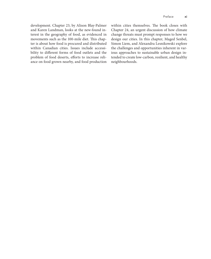development. Chapter 23, by Alison Blay-Palmer and Karen Landman, looks at the new-found interest in the geography of food, as evidenced in movements such as the 100-mile diet. This chapter is about how food is procured and distributed within Canadian cities. Issues include accessibility to different forms of food outlets and the problem of food deserts, efforts to increase reliance on food grown nearby, and food production

within cities themselves. The book closes with Chapter 24, an urgent discussion of how climate change threats must prompt responses to how we design our cities. In this chapter, Maged Senbel, Simon Liem, and Alexandra Lesnikowski explore the challenges and opportunities inherent in various approaches to sustainable urban design intended to create low-carbon, resilient, and healthy neighbourhoods.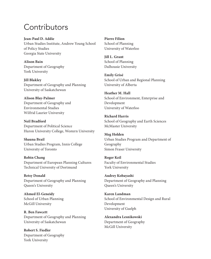## Contributors

**Jean-Paul D. Addie** Urban Studies Institute, Andrew Young School of Policy Studies Georgia State University

**Alison Bain** Department of Geography York University

**Jill Blakley** Department of Geography and Planning University of Saskatchewan

**Alison Blay-Palmer** Department of Geography and Environmental Studies Wilfrid Laurier University

**Neil Bradford** Department of Political Science Huron University College, Western University

**Shauna Brail** Urban Studies Program, Innis College University of Toronto

**Robin Chang** Department of European Planning Cultures Technical University of Dortmund

**Betsy Donald** Department of Geography and Planning Queen's University

**Ahmed El-Geneidy** School of Urban Planning McGill University

**R. Ben Fawcett** Department of Geography and Planning University of Saskatchewan

**Robert S. Fiedler** Department of Geography York University

**Pierre Filion** School of Planning University of Waterloo

**Jill L. Grant** School of Planning Dalhousie University

**Emily Grisé** School of Urban and Regional Planning University of Alberta

**Heather M. Hall** School of Environment, Enterprise and Development University of Waterloo

**Richard Harris** School of Geography and Earth Sciences McMaster University

**Meg Holden** Urban Studies Program and Department of Geography Simon Fraser University

**Roger Keil** Faculty of Environmental Studies York University

**Audrey Kobayashi** Department of Geography and Planning Queen's University

**Karen Landman** School of Environmental Design and Rural Development University of Guelph

**Alexandra Lesnikowski** Department of Geography McGill University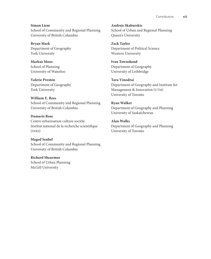**Simon Liem** School of Community and Regional Planning University of British Columbia

**Bryan Mark** Department of Geography York University

**Markus Moos** School of Planning University of Waterloo

**Valerie Preston** Department of Geography York University

**William E. Rees** School of Community and Regional Planning University of British Columbia

**Damaris Rose** Centre urbanisation culture société Institut national de la recherche scientifique (INRS)

**Maged Senbel** School of Community and Regional Planning University of British Columbia

**Richard Shearmur** School of Urban Planning McGill University

**Andrejs Skaburskis** School of Urban and Regional Planning Queen's University

**Zack Taylor** Department of Political Science Western University

**Ivan Townshend** Department of Geography University of Lethbridge

**Tara Vinodrai** Department of Geography and Institute for Management & Innovation (UTM) University of Toronto

**Ryan Walker** Department of Geography and Planning University of Saskatchewan

**Alan Walks** Department of Geography and Planning University of Toronto